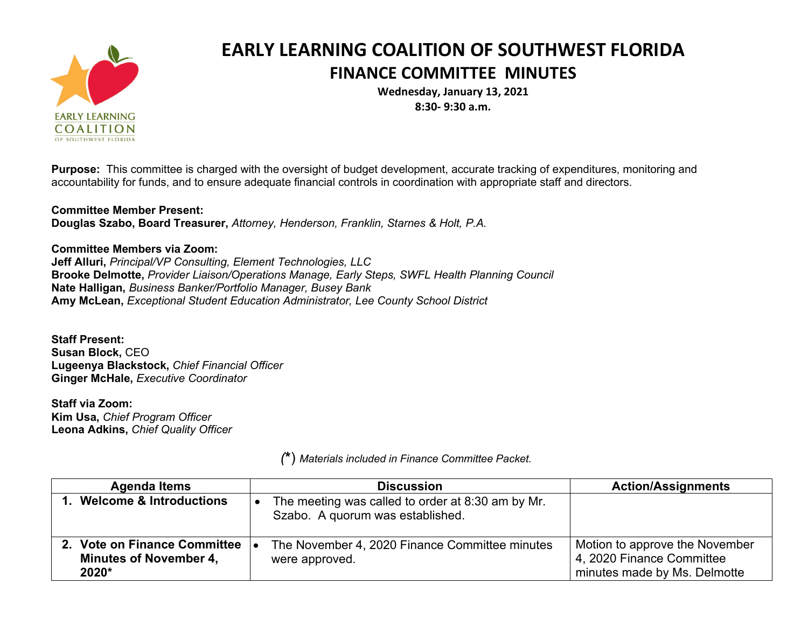

## **EARLY LEARNING COALITION OF SOUTHWEST FLORIDA FINANCE COMMITTEE MINUTES**

**Wednesday, January 13, 2021 8:30- 9:30 a.m.**

**Purpose:** This committee is charged with the oversight of budget development, accurate tracking of expenditures, monitoring and accountability for funds, and to ensure adequate financial controls in coordination with appropriate staff and directors.

**Committee Member Present: Douglas Szabo, Board Treasurer,** *Attorney, Henderson, Franklin, Starnes & Holt, P.A.*

**Committee Members via Zoom: Jeff Alluri,** *Principal/VP Consulting, Element Technologies, LLC* **Brooke Delmotte,** *Provider Liaison/Operations Manage, Early Steps, SWFL Health Planning Council* **Nate Halligan,** *Business Banker/Portfolio Manager, Busey Bank* **Amy McLean,** *Exceptional Student Education Administrator, Lee County School District*

**Staff Present: Susan Block,** CEO **Lugeenya Blackstock,** *Chief Financial Officer* **Ginger McHale,** *Executive Coordinator*

**Staff via Zoom: Kim Usa,** *Chief Program Officer* **Leona Adkins,** *Chief Quality Officer*

| <b>Agenda Items</b>                                                    | <b>Discussion</b>                                                                     | <b>Action/Assignments</b>                                                                   |
|------------------------------------------------------------------------|---------------------------------------------------------------------------------------|---------------------------------------------------------------------------------------------|
| 1. Welcome & Introductions                                             | The meeting was called to order at 8:30 am by Mr.<br>Szabo. A quorum was established. |                                                                                             |
| 2. Vote on Finance Committee<br><b>Minutes of November 4,</b><br>2020* | The November 4, 2020 Finance Committee minutes<br>were approved.                      | Motion to approve the November<br>4, 2020 Finance Committee<br>minutes made by Ms. Delmotte |

*(***\***) *Materials included in Finance Committee Packet.*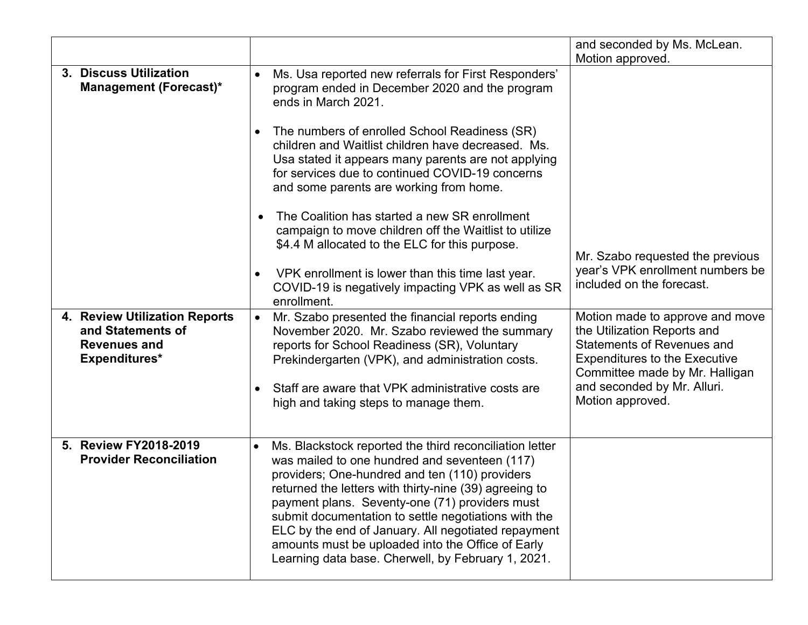|                                                                                            |                        |                                                                                                                                                                                                                                                                                                                                                                                                                                                                                                  | and seconded by Ms. McLean.                                                                                                                                                                                                      |
|--------------------------------------------------------------------------------------------|------------------------|--------------------------------------------------------------------------------------------------------------------------------------------------------------------------------------------------------------------------------------------------------------------------------------------------------------------------------------------------------------------------------------------------------------------------------------------------------------------------------------------------|----------------------------------------------------------------------------------------------------------------------------------------------------------------------------------------------------------------------------------|
| 3. Discuss Utilization<br><b>Management (Forecast)*</b>                                    |                        | Ms. Usa reported new referrals for First Responders'<br>program ended in December 2020 and the program<br>ends in March 2021.<br>The numbers of enrolled School Readiness (SR)<br>children and Waitlist children have decreased. Ms.<br>Usa stated it appears many parents are not applying<br>for services due to continued COVID-19 concerns<br>and some parents are working from home.                                                                                                        | Motion approved.                                                                                                                                                                                                                 |
|                                                                                            | $\bullet$<br>$\bullet$ | The Coalition has started a new SR enrollment<br>campaign to move children off the Waitlist to utilize<br>\$4.4 M allocated to the ELC for this purpose.<br>VPK enrollment is lower than this time last year.<br>COVID-19 is negatively impacting VPK as well as SR<br>enrollment.                                                                                                                                                                                                               | Mr. Szabo requested the previous<br>year's VPK enrollment numbers be<br>included on the forecast.                                                                                                                                |
| 4. Review Utilization Reports<br>and Statements of<br><b>Revenues and</b><br>Expenditures* | $\bullet$              | Mr. Szabo presented the financial reports ending<br>November 2020. Mr. Szabo reviewed the summary<br>reports for School Readiness (SR), Voluntary<br>Prekindergarten (VPK), and administration costs.<br>Staff are aware that VPK administrative costs are<br>high and taking steps to manage them.                                                                                                                                                                                              | Motion made to approve and move<br>the Utilization Reports and<br><b>Statements of Revenues and</b><br><b>Expenditures to the Executive</b><br>Committee made by Mr. Halligan<br>and seconded by Mr. Alluri.<br>Motion approved. |
| 5. Review FY2018-2019<br><b>Provider Reconciliation</b>                                    |                        | Ms. Blackstock reported the third reconciliation letter<br>was mailed to one hundred and seventeen (117)<br>providers; One-hundred and ten (110) providers<br>returned the letters with thirty-nine (39) agreeing to<br>payment plans. Seventy-one (71) providers must<br>submit documentation to settle negotiations with the<br>ELC by the end of January. All negotiated repayment<br>amounts must be uploaded into the Office of Early<br>Learning data base. Cherwell, by February 1, 2021. |                                                                                                                                                                                                                                  |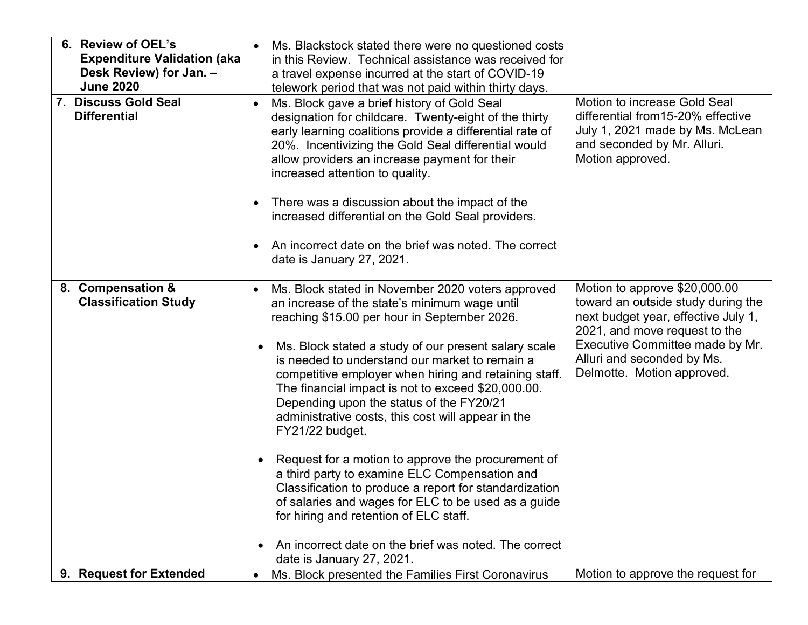| 6. Review of OEL's<br><b>Expenditure Validation (aka</b><br>Desk Review) for Jan. -<br><b>June 2020</b> |           | Ms. Blackstock stated there were no questioned costs<br>in this Review. Technical assistance was received for<br>a travel expense incurred at the start of COVID-19<br>telework period that was not paid within thirty days.                                                                                                               |                                                                                                                                                          |
|---------------------------------------------------------------------------------------------------------|-----------|--------------------------------------------------------------------------------------------------------------------------------------------------------------------------------------------------------------------------------------------------------------------------------------------------------------------------------------------|----------------------------------------------------------------------------------------------------------------------------------------------------------|
| 7. Discuss Gold Seal<br><b>Differential</b>                                                             |           | Ms. Block gave a brief history of Gold Seal<br>designation for childcare. Twenty-eight of the thirty<br>early learning coalitions provide a differential rate of<br>20%. Incentivizing the Gold Seal differential would<br>allow providers an increase payment for their<br>increased attention to quality.                                | Motion to increase Gold Seal<br>differential from 15-20% effective<br>July 1, 2021 made by Ms. McLean<br>and seconded by Mr. Alluri.<br>Motion approved. |
|                                                                                                         |           | There was a discussion about the impact of the<br>increased differential on the Gold Seal providers.                                                                                                                                                                                                                                       |                                                                                                                                                          |
|                                                                                                         |           | An incorrect date on the brief was noted. The correct<br>date is January 27, 2021.                                                                                                                                                                                                                                                         |                                                                                                                                                          |
| 8. Compensation &<br><b>Classification Study</b>                                                        |           | Ms. Block stated in November 2020 voters approved<br>an increase of the state's minimum wage until<br>reaching \$15.00 per hour in September 2026.                                                                                                                                                                                         | Motion to approve \$20,000.00<br>toward an outside study during the<br>next budget year, effective July 1,<br>2021, and move request to the              |
|                                                                                                         | $\bullet$ | Ms. Block stated a study of our present salary scale<br>is needed to understand our market to remain a<br>competitive employer when hiring and retaining staff.<br>The financial impact is not to exceed \$20,000.00.<br>Depending upon the status of the FY20/21<br>administrative costs, this cost will appear in the<br>FY21/22 budget. | Executive Committee made by Mr.<br>Alluri and seconded by Ms.<br>Delmotte. Motion approved.                                                              |
|                                                                                                         | $\bullet$ | Request for a motion to approve the procurement of<br>a third party to examine ELC Compensation and<br>Classification to produce a report for standardization<br>of salaries and wages for ELC to be used as a guide<br>for hiring and retention of ELC staff.                                                                             |                                                                                                                                                          |
|                                                                                                         | $\bullet$ | An incorrect date on the brief was noted. The correct<br>date is January 27, 2021.                                                                                                                                                                                                                                                         |                                                                                                                                                          |
| 9. Request for Extended                                                                                 | $\bullet$ | Ms. Block presented the Families First Coronavirus                                                                                                                                                                                                                                                                                         | Motion to approve the request for                                                                                                                        |